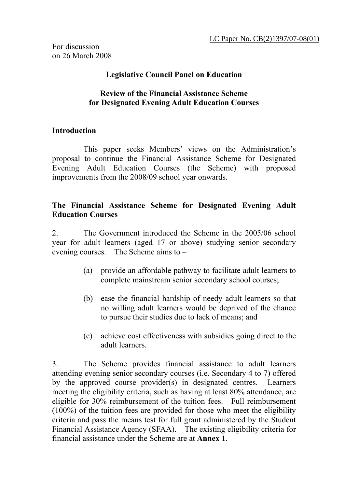For discussion on 26 March 2008

#### **Legislative Council Panel on Education**

#### **Review of the Financial Assistance Scheme for Designated Evening Adult Education Courses**

### **Introduction**

This paper seeks Members' views on the Administration's proposal to continue the Financial Assistance Scheme for Designated Evening Adult Education Courses (the Scheme) with proposed improvements from the 2008/09 school year onwards.

#### **The Financial Assistance Scheme for Designated Evening Adult Education Courses**

2. The Government introduced the Scheme in the 2005/06 school year for adult learners (aged 17 or above) studying senior secondary evening courses. The Scheme aims to –

- (a) provide an affordable pathway to facilitate adult learners to complete mainstream senior secondary school courses;
- (b) ease the financial hardship of needy adult learners so that no willing adult learners would be deprived of the chance to pursue their studies due to lack of means; and
- (c) achieve cost effectiveness with subsidies going direct to the adult learners.

3. The Scheme provides financial assistance to adult learners attending evening senior secondary courses (i.e. Secondary 4 to 7) offered by the approved course provider(s) in designated centres. Learners meeting the eligibility criteria, such as having at least 80% attendance, are eligible for 30% reimbursement of the tuition fees. Full reimbursement (100%) of the tuition fees are provided for those who meet the eligibility criteria and pass the means test for full grant administered by the Student Financial Assistance Agency (SFAA). The existing eligibility criteria for financial assistance under the Scheme are at **Annex 1**.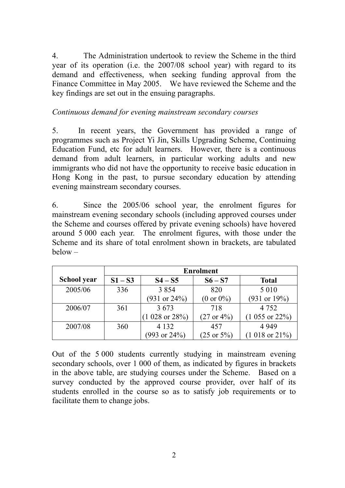4. The Administration undertook to review the Scheme in the third year of its operation (i.e. the 2007/08 school year) with regard to its demand and effectiveness, when seeking funding approval from the Finance Committee in May 2005. We have reviewed the Scheme and the key findings are set out in the ensuing paragraphs.

## *Continuous demand for evening mainstream secondary courses*

5. In recent years, the Government has provided a range of programmes such as Project Yi Jin, Skills Upgrading Scheme, Continuing Education Fund, etc for adult learners. However, there is a continuous demand from adult learners, in particular working adults and new immigrants who did not have the opportunity to receive basic education in Hong Kong in the past, to pursue secondary education by attending evening mainstream secondary courses.

6. Since the 2005/06 school year, the enrolment figures for mainstream evening secondary schools (including approved courses under the Scheme and courses offered by private evening schools) have hovered around 5 000 each year. The enrolment figures, with those under the Scheme and its share of total enrolment shown in brackets, are tabulated below –

|             | <b>Enrolment</b> |                           |                        |                           |
|-------------|------------------|---------------------------|------------------------|---------------------------|
| School year | $S1-S3$          | $S4-S5$                   | $S6-S7$                | <b>Total</b>              |
| 2005/06     | 336              | 3 8 5 4                   | 820                    | 5 0 1 0                   |
|             |                  | $(931 \text{ or } 24\%)$  | $(0 or 0\%)$           | $(931 \text{ or } 19\%)$  |
| 2006/07     | 361              | 3673                      | 718                    | 4 7 5 2                   |
|             |                  | $(1028 \text{ or } 28\%)$ | $(27 \text{ or } 4\%)$ | $(1\ 055\ or\ 22\%)$      |
| 2007/08     | 360              | 4 1 3 2                   | 457                    | 4 9 4 9                   |
|             |                  | $(993 \text{ or } 24\%)$  | $(25 \text{ or } 5\%)$ | $(1018 \text{ or } 21\%)$ |

Out of the 5 000 students currently studying in mainstream evening secondary schools, over 1 000 of them, as indicated by figures in brackets in the above table, are studying courses under the Scheme. Based on a survey conducted by the approved course provider, over half of its students enrolled in the course so as to satisfy job requirements or to facilitate them to change jobs.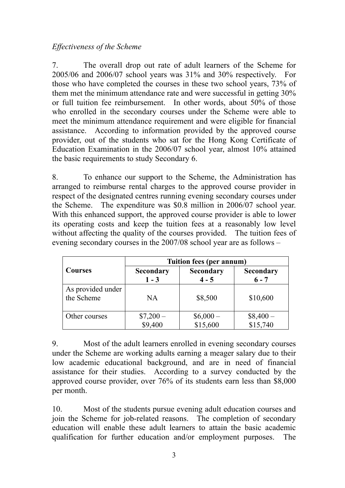#### *Effectiveness of the Scheme*

7. The overall drop out rate of adult learners of the Scheme for 2005/06 and 2006/07 school years was 31% and 30% respectively. For those who have completed the courses in these two school years, 73% of them met the minimum attendance rate and were successful in getting 30% or full tuition fee reimbursement. In other words, about 50% of those who enrolled in the secondary courses under the Scheme were able to meet the minimum attendance requirement and were eligible for financial assistance. According to information provided by the approved course provider, out of the students who sat for the Hong Kong Certificate of Education Examination in the 2006/07 school year, almost 10% attained the basic requirements to study Secondary 6.

8. To enhance our support to the Scheme, the Administration has arranged to reimburse rental charges to the approved course provider in respect of the designated centres running evening secondary courses under the Scheme. The expenditure was \$0.8 million in 2006/07 school year. With this enhanced support, the approved course provider is able to lower its operating costs and keep the tuition fees at a reasonably low level without affecting the quality of the courses provided. The tuition fees of evening secondary courses in the 2007/08 school year are as follows –

|                                 | Tuition fees (per annum)    |                             |                             |  |  |
|---------------------------------|-----------------------------|-----------------------------|-----------------------------|--|--|
| <b>Courses</b>                  | <b>Secondary</b><br>$1 - 3$ | <b>Secondary</b><br>$4 - 5$ | <b>Secondary</b><br>$6 - 7$ |  |  |
| As provided under<br>the Scheme | NA                          | \$8,500                     | \$10,600                    |  |  |
| Other courses                   | $$7,200-$<br>\$9,400        | $$6,000-$<br>\$15,600       | $$8,400-$<br>$$15,740$      |  |  |

9. Most of the adult learners enrolled in evening secondary courses under the Scheme are working adults earning a meager salary due to their low academic educational background, and are in need of financial assistance for their studies. According to a survey conducted by the approved course provider, over 76% of its students earn less than \$8,000 per month.

10. Most of the students pursue evening adult education courses and join the Scheme for job-related reasons. The completion of secondary education will enable these adult learners to attain the basic academic qualification for further education and/or employment purposes. The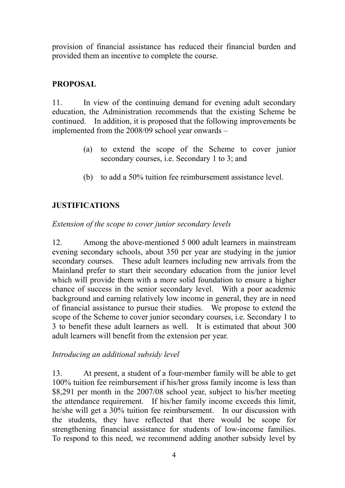provision of financial assistance has reduced their financial burden and provided them an incentive to complete the course.

# **PROPOSAL**

11. In view of the continuing demand for evening adult secondary education, the Administration recommends that the existing Scheme be continued. In addition, it is proposed that the following improvements be implemented from the 2008/09 school year onwards –

- (a) to extend the scope of the Scheme to cover junior secondary courses, i.e. Secondary 1 to 3; and
- (b) to add a 50% tuition fee reimbursement assistance level.

# **JUSTIFICATIONS**

*Extension of the scope to cover junior secondary levels* 

12. Among the above-mentioned 5 000 adult learners in mainstream evening secondary schools, about 350 per year are studying in the junior secondary courses. These adult learners including new arrivals from the Mainland prefer to start their secondary education from the junior level which will provide them with a more solid foundation to ensure a higher chance of success in the senior secondary level. With a poor academic background and earning relatively low income in general, they are in need of financial assistance to pursue their studies. We propose to extend the scope of the Scheme to cover junior secondary courses, i.e. Secondary 1 to 3 to benefit these adult learners as well. It is estimated that about 300 adult learners will benefit from the extension per year.

## *Introducing an additional subsidy level*

13. At present, a student of a four-member family will be able to get 100% tuition fee reimbursement if his/her gross family income is less than \$8,291 per month in the 2007/08 school year, subject to his/her meeting the attendance requirement. If his/her family income exceeds this limit, he/she will get a 30% tuition fee reimbursement. In our discussion with the students, they have reflected that there would be scope for strengthening financial assistance for students of low-income families. To respond to this need, we recommend adding another subsidy level by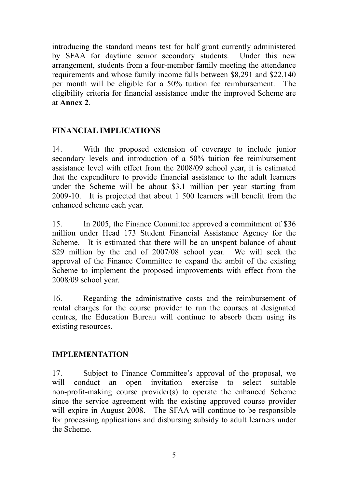introducing the standard means test for half grant currently administered by SFAA for daytime senior secondary students. Under this new arrangement, students from a four-member family meeting the attendance requirements and whose family income falls between \$8,291 and \$22,140 per month will be eligible for a 50% tuition fee reimbursement. The eligibility criteria for financial assistance under the improved Scheme are at **Annex 2**.

## **FINANCIAL IMPLICATIONS**

14. With the proposed extension of coverage to include junior secondary levels and introduction of a 50% tuition fee reimbursement assistance level with effect from the 2008/09 school year, it is estimated that the expenditure to provide financial assistance to the adult learners under the Scheme will be about \$3.1 million per year starting from 2009-10. It is projected that about 1 500 learners will benefit from the enhanced scheme each year.

15. In 2005, the Finance Committee approved a commitment of \$36 million under Head 173 Student Financial Assistance Agency for the Scheme. It is estimated that there will be an unspent balance of about \$29 million by the end of 2007/08 school year. We will seek the approval of the Finance Committee to expand the ambit of the existing Scheme to implement the proposed improvements with effect from the 2008/09 school year.

16. Regarding the administrative costs and the reimbursement of rental charges for the course provider to run the courses at designated centres, the Education Bureau will continue to absorb them using its existing resources.

## **IMPLEMENTATION**

17. Subject to Finance Committee's approval of the proposal, we will conduct an open invitation exercise to select suitable non-profit-making course provider(s) to operate the enhanced Scheme since the service agreement with the existing approved course provider will expire in August 2008. The SFAA will continue to be responsible for processing applications and disbursing subsidy to adult learners under the Scheme.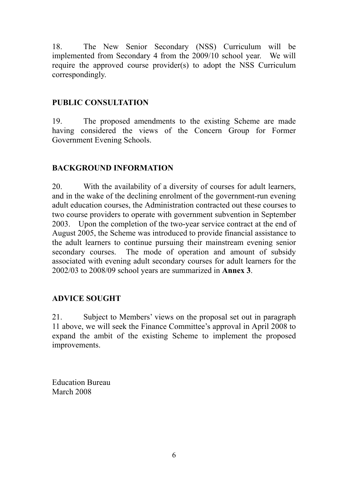18. The New Senior Secondary (NSS) Curriculum will be implemented from Secondary 4 from the 2009/10 school year. We will require the approved course provider(s) to adopt the NSS Curriculum correspondingly.

# **PUBLIC CONSULTATION**

19. The proposed amendments to the existing Scheme are made having considered the views of the Concern Group for Former Government Evening Schools.

# **BACKGROUND INFORMATION**

20. With the availability of a diversity of courses for adult learners, and in the wake of the declining enrolment of the government-run evening adult education courses, the Administration contracted out these courses to two course providers to operate with government subvention in September 2003. Upon the completion of the two-year service contract at the end of August 2005, the Scheme was introduced to provide financial assistance to the adult learners to continue pursuing their mainstream evening senior secondary courses. The mode of operation and amount of subsidy associated with evening adult secondary courses for adult learners for the 2002/03 to 2008/09 school years are summarized in **Annex 3**.

## **ADVICE SOUGHT**

21. Subject to Members' views on the proposal set out in paragraph 11 above, we will seek the Finance Committee's approval in April 2008 to expand the ambit of the existing Scheme to implement the proposed improvements.

Education Bureau March 2008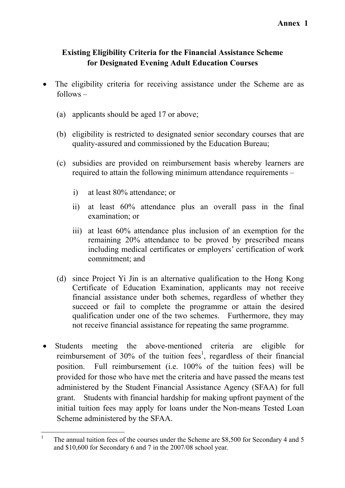# **Existing Eligibility Criteria for the Financial Assistance Scheme for Designated Evening Adult Education Courses**

- The eligibility criteria for receiving assistance under the Scheme are as follows –
	- (a) applicants should be aged 17 or above;
	- (b) eligibility is restricted to designated senior secondary courses that are quality-assured and commissioned by the Education Bureau;
	- (c) subsidies are provided on reimbursement basis whereby learners are required to attain the following minimum attendance requirements –
		- i) at least 80% attendance; or
		- ii) at least 60% attendance plus an overall pass in the final examination; or
		- iii) at least 60% attendance plus inclusion of an exemption for the remaining 20% attendance to be proved by prescribed means including medical certificates or employers' certification of work commitment; and
	- (d) since Project Yi Jin is an alternative qualification to the Hong Kong Certificate of Education Examination, applicants may not receive financial assistance under both schemes, regardless of whether they succeed or fail to complete the programme or attain the desired qualification under one of the two schemes. Furthermore, they may not receive financial assistance for repeating the same programme.
- Students meeting the above-mentioned criteria are eligible for reimbursement of 30% of the tuition fees<sup>1</sup>, regardless of their financial position. Full reimbursement (i.e. 100% of the tuition fees) will be provided for those who have met the criteria and have passed the means test administered by the Student Financial Assistance Agency (SFAA) for full grant. Students with financial hardship for making upfront payment of the initial tuition fees may apply for loans under the Non-means Tested Loan Scheme administered by the SFAA.

 $\frac{1}{1}$  The annual tuition fees of the courses under the Scheme are \$8,500 for Secondary 4 and 5 and \$10,600 for Secondary 6 and 7 in the 2007/08 school year.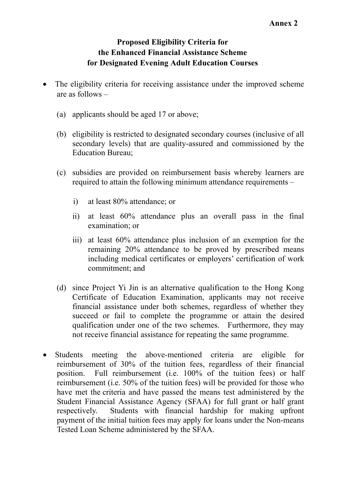# **Proposed Eligibility Criteria for the Enhanced Financial Assistance Scheme for Designated Evening Adult Education Courses**

- The eligibility criteria for receiving assistance under the improved scheme are as follows –
	- (a) applicants should be aged 17 or above;
	- (b) eligibility is restricted to designated secondary courses (inclusive of all secondary levels) that are quality-assured and commissioned by the Education Bureau;
	- (c) subsidies are provided on reimbursement basis whereby learners are required to attain the following minimum attendance requirements –
		- i) at least 80% attendance; or
		- ii) at least 60% attendance plus an overall pass in the final examination; or
		- iii) at least 60% attendance plus inclusion of an exemption for the remaining 20% attendance to be proved by prescribed means including medical certificates or employers' certification of work commitment; and
	- (d) since Project Yi Jin is an alternative qualification to the Hong Kong Certificate of Education Examination, applicants may not receive financial assistance under both schemes, regardless of whether they succeed or fail to complete the programme or attain the desired qualification under one of the two schemes. Furthermore, they may not receive financial assistance for repeating the same programme.
- Students meeting the above-mentioned criteria are eligible for reimbursement of 30% of the tuition fees, regardless of their financial position. Full reimbursement (i.e. 100% of the tuition fees) or half reimbursement (i.e. 50% of the tuition fees) will be provided for those who have met the criteria and have passed the means test administered by the Student Financial Assistance Agency (SFAA) for full grant or half grant respectively. Students with financial hardship for making upfront payment of the initial tuition fees may apply for loans under the Non-means Tested Loan Scheme administered by the SFAA.